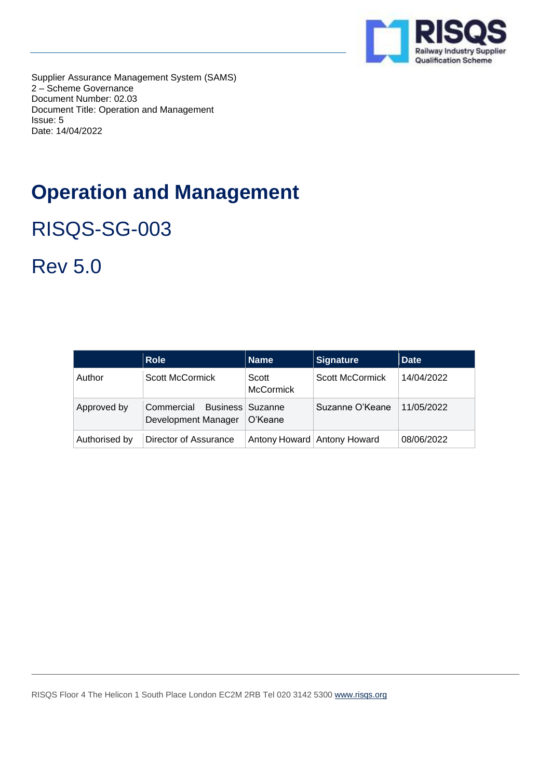

Supplier Assurance Management System (SAMS) 2 – Scheme Governance Document Number: 02.03 Document Title: Operation and Management Issue: 5 Date: 14/04/2022

# **Operation and Management**

RISQS-SG-003

Rev 5.0

|               | <b>Role</b>                                             | <b>Name</b>               | <b>Signature</b>            | <b>Date</b> |
|---------------|---------------------------------------------------------|---------------------------|-----------------------------|-------------|
| Author        | Scott McCormick                                         | Scott<br><b>McCormick</b> | Scott McCormick             | 14/04/2022  |
| Approved by   | Business   Suzanne<br>Commercial<br>Development Manager | O'Keane                   | Suzanne O'Keane             | 11/05/2022  |
| Authorised by | Director of Assurance                                   |                           | Antony Howard Antony Howard | 08/06/2022  |

RISQS Floor 4 The Helicon 1 South Place London EC2M 2RB Tel 020 3142 5300 [www.risqs.org](http://www.risqs.org/)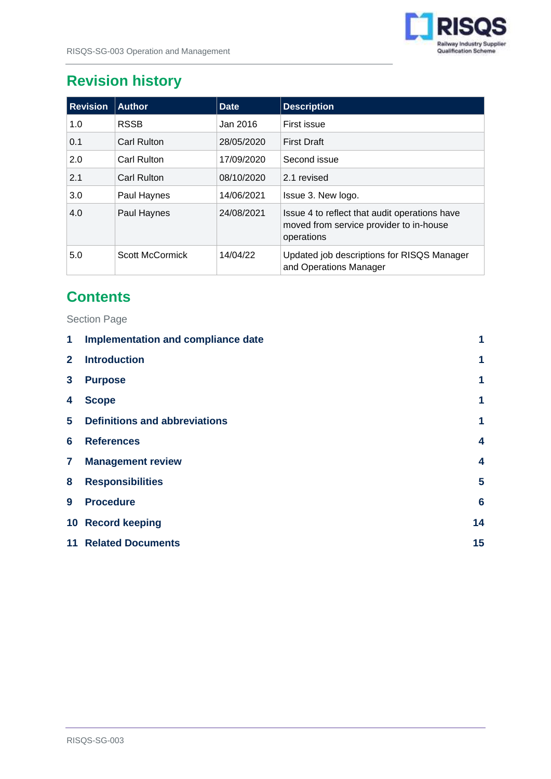

## **Revision history**

| <b>Revision</b> | <b>Author</b>   | <b>Date</b> | <b>Description</b>                                                                                     |
|-----------------|-----------------|-------------|--------------------------------------------------------------------------------------------------------|
| 1.0             | <b>RSSB</b>     | Jan 2016    | First issue                                                                                            |
| 0.1             | Carl Rulton     | 28/05/2020  | <b>First Draft</b>                                                                                     |
| 2.0             | Carl Rulton     | 17/09/2020  | Second issue                                                                                           |
| 2.1             | Carl Rulton     | 08/10/2020  | 2.1 revised                                                                                            |
| 3.0             | Paul Haynes     | 14/06/2021  | Issue 3. New logo.                                                                                     |
| 4.0             | Paul Haynes     | 24/08/2021  | Issue 4 to reflect that audit operations have<br>moved from service provider to in-house<br>operations |
| 5.0             | Scott McCormick | 14/04/22    | Updated job descriptions for RISQS Manager<br>and Operations Manager                                   |

### **Contents**

Section Page

| 1              | Implementation and compliance date   | 1               |
|----------------|--------------------------------------|-----------------|
| $\mathbf{2}$   | <b>Introduction</b>                  | 1               |
| 3              | <b>Purpose</b>                       | 1               |
| 4              | <b>Scope</b>                         | 1               |
| 5              | <b>Definitions and abbreviations</b> | 1               |
| 6              | <b>References</b>                    | 4               |
| $\overline{7}$ | <b>Management review</b>             | 4               |
| 8              | <b>Responsibilities</b>              | 5               |
| 9              | <b>Procedure</b>                     | $6\phantom{1}6$ |
|                | 10 Record keeping                    | 14              |
|                | <b>11 Related Documents</b>          | 15              |
|                |                                      |                 |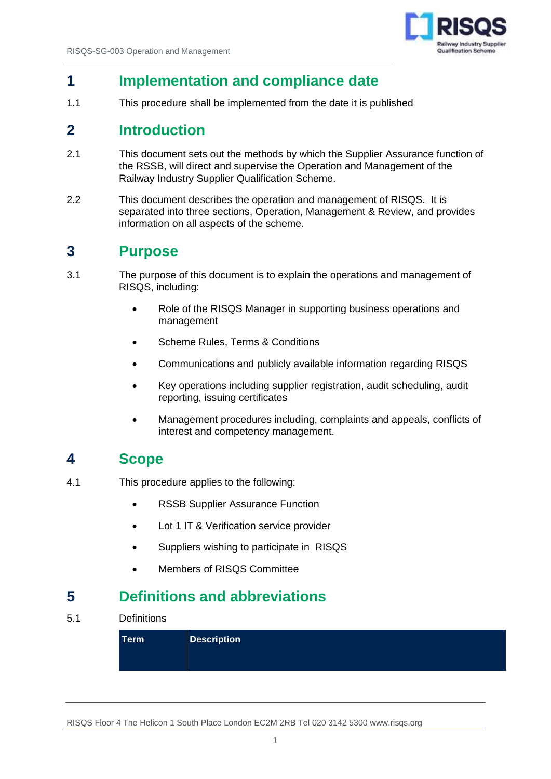

### <span id="page-2-0"></span>**1 Implementation and compliance date**

1.1 This procedure shall be implemented from the date it is published

### <span id="page-2-1"></span>**2 Introduction**

- 2.1 This document sets out the methods by which the Supplier Assurance function of the RSSB, will direct and supervise the Operation and Management of the Railway Industry Supplier Qualification Scheme.
- 2.2 This document describes the operation and management of RISQS. It is separated into three sections, Operation, Management & Review, and provides information on all aspects of the scheme.

### <span id="page-2-2"></span>**3 Purpose**

- 3.1 The purpose of this document is to explain the operations and management of RISQS, including:
	- Role of the RISQS Manager in supporting business operations and management
	- Scheme Rules, Terms & Conditions
	- Communications and publicly available information regarding RISQS
	- Key operations including supplier registration, audit scheduling, audit reporting, issuing certificates
	- Management procedures including, complaints and appeals, conflicts of interest and competency management.

### <span id="page-2-3"></span>**4 Scope**

- 4.1 This procedure applies to the following:
	- RSSB Supplier Assurance Function
	- Lot 1 IT & Verification service provider
	- Suppliers wishing to participate in RISQS
	- Members of RISQS Committee

### <span id="page-2-4"></span>**5 Definitions and abbreviations**

5.1 Definitions

| Term | $\parallel$ Description $\parallel$ |
|------|-------------------------------------|
|      |                                     |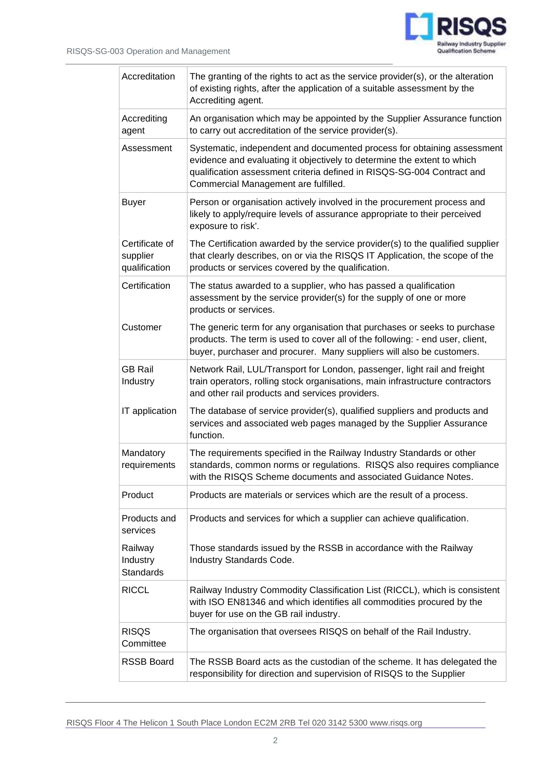J.



| Accreditation                               | The granting of the rights to act as the service provider(s), or the alteration<br>of existing rights, after the application of a suitable assessment by the<br>Accrediting agent.                                                                                   |
|---------------------------------------------|----------------------------------------------------------------------------------------------------------------------------------------------------------------------------------------------------------------------------------------------------------------------|
| Accrediting<br>agent                        | An organisation which may be appointed by the Supplier Assurance function<br>to carry out accreditation of the service provider(s).                                                                                                                                  |
| Assessment                                  | Systematic, independent and documented process for obtaining assessment<br>evidence and evaluating it objectively to determine the extent to which<br>qualification assessment criteria defined in RISQS-SG-004 Contract and<br>Commercial Management are fulfilled. |
| <b>Buyer</b>                                | Person or organisation actively involved in the procurement process and<br>likely to apply/require levels of assurance appropriate to their perceived<br>exposure to risk'.                                                                                          |
| Certificate of<br>supplier<br>qualification | The Certification awarded by the service provider(s) to the qualified supplier<br>that clearly describes, on or via the RISQS IT Application, the scope of the<br>products or services covered by the qualification.                                                 |
| Certification                               | The status awarded to a supplier, who has passed a qualification<br>assessment by the service provider(s) for the supply of one or more<br>products or services.                                                                                                     |
| Customer                                    | The generic term for any organisation that purchases or seeks to purchase<br>products. The term is used to cover all of the following: - end user, client,<br>buyer, purchaser and procurer. Many suppliers will also be customers.                                  |
| <b>GB Rail</b><br>Industry                  | Network Rail, LUL/Transport for London, passenger, light rail and freight<br>train operators, rolling stock organisations, main infrastructure contractors<br>and other rail products and services providers.                                                        |
| IT application                              | The database of service provider(s), qualified suppliers and products and<br>services and associated web pages managed by the Supplier Assurance<br>function.                                                                                                        |
| Mandatory<br>requirements                   | The requirements specified in the Railway Industry Standards or other<br>standards, common norms or regulations. RISQS also requires compliance<br>with the RISQS Scheme documents and associated Guidance Notes.                                                    |
| Product                                     | Products are materials or services which are the result of a process.                                                                                                                                                                                                |
| Products and<br>services                    | Products and services for which a supplier can achieve qualification.                                                                                                                                                                                                |
| Railway<br>Industry<br><b>Standards</b>     | Those standards issued by the RSSB in accordance with the Railway<br>Industry Standards Code.                                                                                                                                                                        |
| <b>RICCL</b>                                | Railway Industry Commodity Classification List (RICCL), which is consistent<br>with ISO EN81346 and which identifies all commodities procured by the<br>buyer for use on the GB rail industry.                                                                       |
| <b>RISQS</b><br>Committee                   | The organisation that oversees RISQS on behalf of the Rail Industry.                                                                                                                                                                                                 |
| <b>RSSB Board</b>                           | The RSSB Board acts as the custodian of the scheme. It has delegated the<br>responsibility for direction and supervision of RISQS to the Supplier                                                                                                                    |

RISQS Floor 4 The Helicon 1 South Place London EC2M 2RB Tel 020 3142 5300 www.risqs.org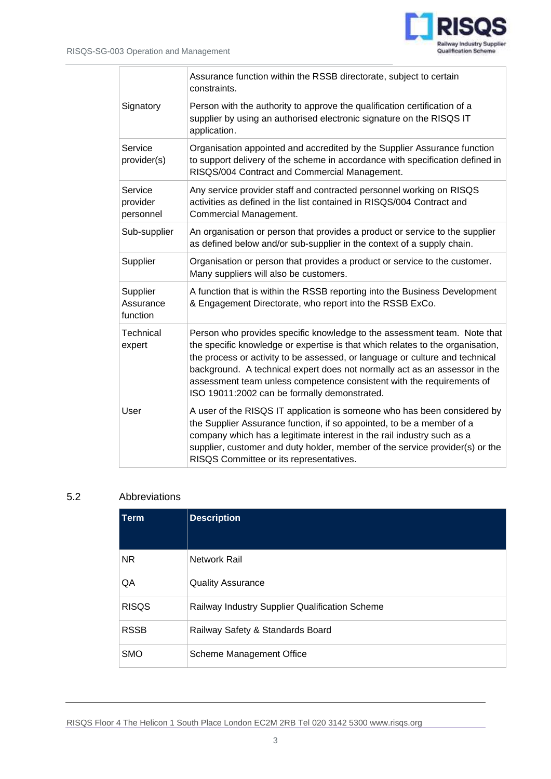

|                                   | Assurance function within the RSSB directorate, subject to certain<br>constraints.                                                                                                                                                                                                                                                                                                                                                                |
|-----------------------------------|---------------------------------------------------------------------------------------------------------------------------------------------------------------------------------------------------------------------------------------------------------------------------------------------------------------------------------------------------------------------------------------------------------------------------------------------------|
| Signatory                         | Person with the authority to approve the qualification certification of a<br>supplier by using an authorised electronic signature on the RISQS IT<br>application.                                                                                                                                                                                                                                                                                 |
| Service<br>provider(s)            | Organisation appointed and accredited by the Supplier Assurance function<br>to support delivery of the scheme in accordance with specification defined in<br>RISQS/004 Contract and Commercial Management.                                                                                                                                                                                                                                        |
| Service<br>provider<br>personnel  | Any service provider staff and contracted personnel working on RISQS<br>activities as defined in the list contained in RISQS/004 Contract and<br>Commercial Management.                                                                                                                                                                                                                                                                           |
| Sub-supplier                      | An organisation or person that provides a product or service to the supplier<br>as defined below and/or sub-supplier in the context of a supply chain.                                                                                                                                                                                                                                                                                            |
| Supplier                          | Organisation or person that provides a product or service to the customer.<br>Many suppliers will also be customers.                                                                                                                                                                                                                                                                                                                              |
| Supplier<br>Assurance<br>function | A function that is within the RSSB reporting into the Business Development<br>& Engagement Directorate, who report into the RSSB ExCo.                                                                                                                                                                                                                                                                                                            |
| <b>Technical</b><br>expert        | Person who provides specific knowledge to the assessment team. Note that<br>the specific knowledge or expertise is that which relates to the organisation,<br>the process or activity to be assessed, or language or culture and technical<br>background. A technical expert does not normally act as an assessor in the<br>assessment team unless competence consistent with the requirements of<br>ISO 19011:2002 can be formally demonstrated. |
| User                              | A user of the RISQS IT application is someone who has been considered by<br>the Supplier Assurance function, if so appointed, to be a member of a<br>company which has a legitimate interest in the rail industry such as a<br>supplier, customer and duty holder, member of the service provider(s) or the<br>RISQS Committee or its representatives.                                                                                            |

#### 5.2 Abbreviations

| <b>Term</b>  | <b>Description</b>                             |
|--------------|------------------------------------------------|
| NR.          | Network Rail                                   |
| QA           | <b>Quality Assurance</b>                       |
| <b>RISQS</b> | Railway Industry Supplier Qualification Scheme |
| <b>RSSB</b>  | Railway Safety & Standards Board               |
| <b>SMO</b>   | Scheme Management Office                       |

RISQS Floor 4 The Helicon 1 South Place London EC2M 2RB Tel 020 3142 5300 www.risqs.org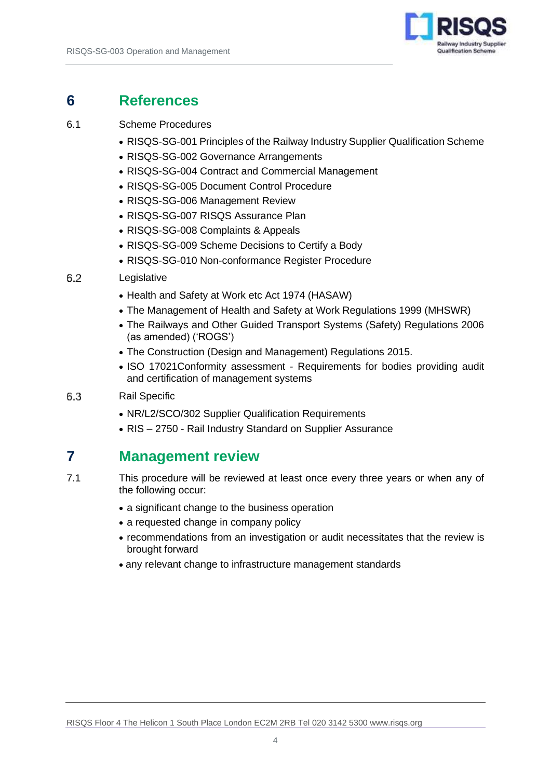

### <span id="page-5-0"></span>**6 References**

#### 6.1 Scheme Procedures

- RISQS-SG-001 Principles of the Railway Industry Supplier Qualification Scheme
- RISQS-SG-002 Governance Arrangements
- RISQS-SG-004 Contract and Commercial Management
- RISQS-SG-005 Document Control Procedure
- RISQS-SG-006 Management Review
- RISQS-SG-007 RISQS Assurance Plan
- RISQS-SG-008 Complaints & Appeals
- RISQS-SG-009 Scheme Decisions to Certify a Body
- RISQS-SG-010 Non-conformance Register Procedure

#### 6.2 Legislative

- Health and Safety at Work etc Act 1974 (HASAW)
- The Management of Health and Safety at Work Regulations 1999 (MHSWR)
- The Railways and Other Guided Transport Systems (Safety) Regulations 2006 (as amended) ('ROGS')
- The Construction (Design and Management) Regulations 2015.
- ISO 17021Conformity assessment Requirements for bodies providing audit and certification of management systems
- 6.3 Rail Specific
	- NR/L2/SCO/302 Supplier Qualification Requirements
	- RIS 2750 Rail Industry Standard on Supplier Assurance

### <span id="page-5-1"></span>**7 Management review**

- 7.1 This procedure will be reviewed at least once every three years or when any of the following occur:
	- a significant change to the business operation
	- a requested change in company policy
	- recommendations from an investigation or audit necessitates that the review is brought forward
	- any relevant change to infrastructure management standards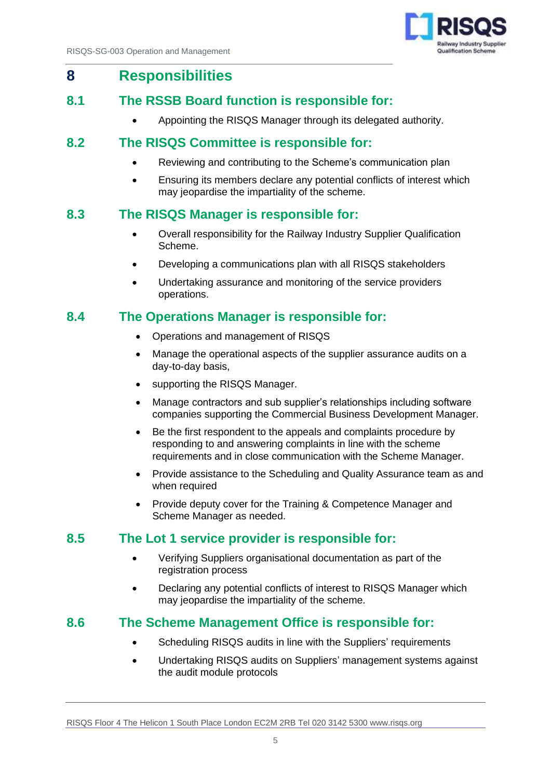

#### <span id="page-6-0"></span>**8 Responsibilities**

#### **8.1 The RSSB Board function is responsible for:**

• Appointing the RISQS Manager through its delegated authority.

#### **8.2 The RISQS Committee is responsible for:**

- Reviewing and contributing to the Scheme's communication plan
- Ensuring its members declare any potential conflicts of interest which may jeopardise the impartiality of the scheme.

#### **8.3 The RISQS Manager is responsible for:**

- Overall responsibility for the Railway Industry Supplier Qualification Scheme.
- Developing a communications plan with all RISQS stakeholders
- Undertaking assurance and monitoring of the service providers operations.

#### **8.4 The Operations Manager is responsible for:**

- Operations and management of RISQS
- Manage the operational aspects of the supplier assurance audits on a day-to-day basis,
- supporting the RISQS Manager.
- Manage contractors and sub supplier's relationships including software companies supporting the Commercial Business Development Manager.
- Be the first respondent to the appeals and complaints procedure by responding to and answering complaints in line with the scheme requirements and in close communication with the Scheme Manager.
- Provide assistance to the Scheduling and Quality Assurance team as and when required
- Provide deputy cover for the Training & Competence Manager and Scheme Manager as needed.

#### **8.5 The Lot 1 service provider is responsible for:**

- Verifying Suppliers organisational documentation as part of the registration process
- Declaring any potential conflicts of interest to RISQS Manager which may jeopardise the impartiality of the scheme.

#### **8.6 The Scheme Management Office is responsible for:**

- Scheduling RISQS audits in line with the Suppliers' requirements
- Undertaking RISQS audits on Suppliers' management systems against the audit module protocols

RISQS Floor 4 The Helicon 1 South Place London EC2M 2RB Tel 020 3142 5300 www.risqs.org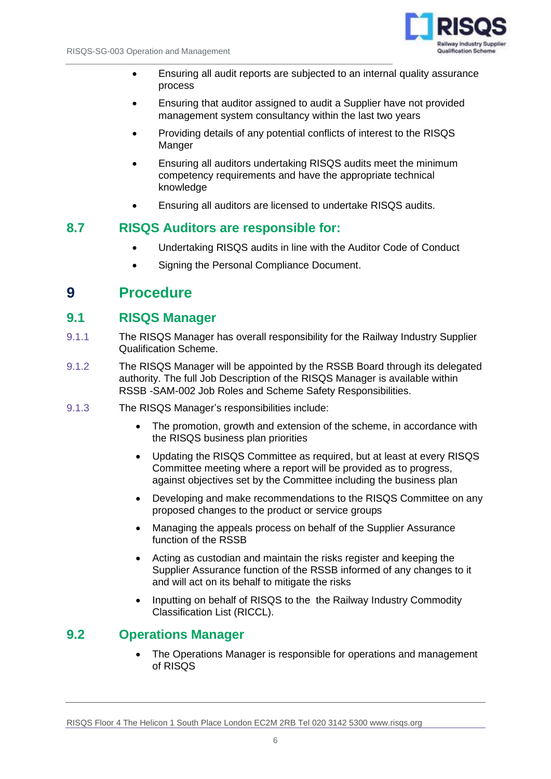

- Ensuring all audit reports are subjected to an internal quality assurance process
- Ensuring that auditor assigned to audit a Supplier have not provided management system consultancy within the last two years
- Providing details of any potential conflicts of interest to the RISQS Manger
- Ensuring all auditors undertaking RISQS audits meet the minimum competency requirements and have the appropriate technical knowledge
- Ensuring all auditors are licensed to undertake RISQS audits.

#### **8.7 RISQS Auditors are responsible for:**

- Undertaking RISQS audits in line with the Auditor Code of Conduct
- Signing the Personal Compliance Document.

#### <span id="page-7-0"></span>**9 Procedure**

#### **9.1 RISQS Manager**

- 9.1.1 The RISQS Manager has overall responsibility for the Railway Industry Supplier Qualification Scheme.
- 9.1.2 The RISQS Manager will be appointed by the RSSB Board through its delegated authority. The full Job Description of the RISQS Manager is available within RSSB -SAM-002 Job Roles and Scheme Safety Responsibilities.
- 9.1.3 The RISQS Manager's responsibilities include:
	- The promotion, growth and extension of the scheme, in accordance with the RISQS business plan priorities
	- Updating the RISQS Committee as required, but at least at every RISQS Committee meeting where a report will be provided as to progress, against objectives set by the Committee including the business plan
	- Developing and make recommendations to the RISQS Committee on any proposed changes to the product or service groups
	- Managing the appeals process on behalf of the Supplier Assurance function of the RSSB
	- Acting as custodian and maintain the risks register and keeping the Supplier Assurance function of the RSSB informed of any changes to it and will act on its behalf to mitigate the risks
	- Inputting on behalf of RISQS to the the Railway Industry Commodity Classification List (RICCL).

#### **9.2 Operations Manager**

• The Operations Manager is responsible for operations and management of RISQS

RISQS Floor 4 The Helicon 1 South Place London EC2M 2RB Tel 020 3142 5300 www.risqs.org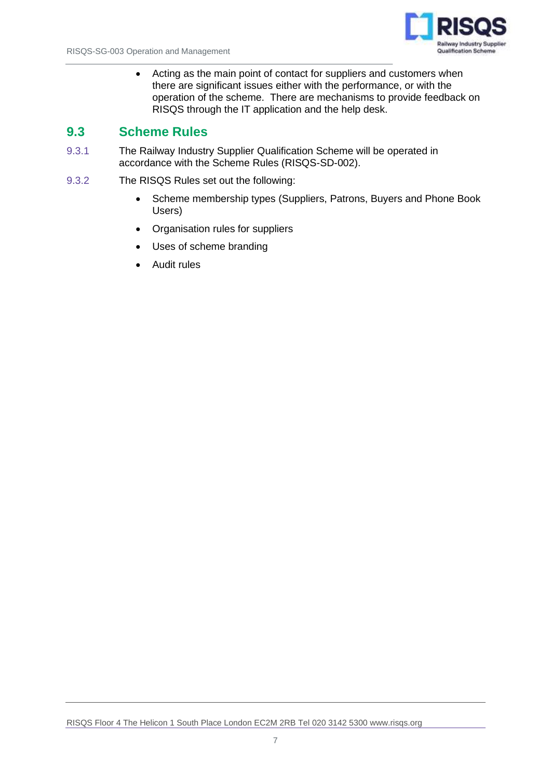

• Acting as the main point of contact for suppliers and customers when there are significant issues either with the performance, or with the operation of the scheme. There are mechanisms to provide feedback on RISQS through the IT application and the help desk.

#### **9.3 Scheme Rules**

- 9.3.1 The Railway Industry Supplier Qualification Scheme will be operated in accordance with the Scheme Rules (RISQS-SD-002).
- 9.3.2 The RISQS Rules set out the following:
	- Scheme membership types (Suppliers, Patrons, Buyers and Phone Book Users)
	- Organisation rules for suppliers
	- Uses of scheme branding
	- Audit rules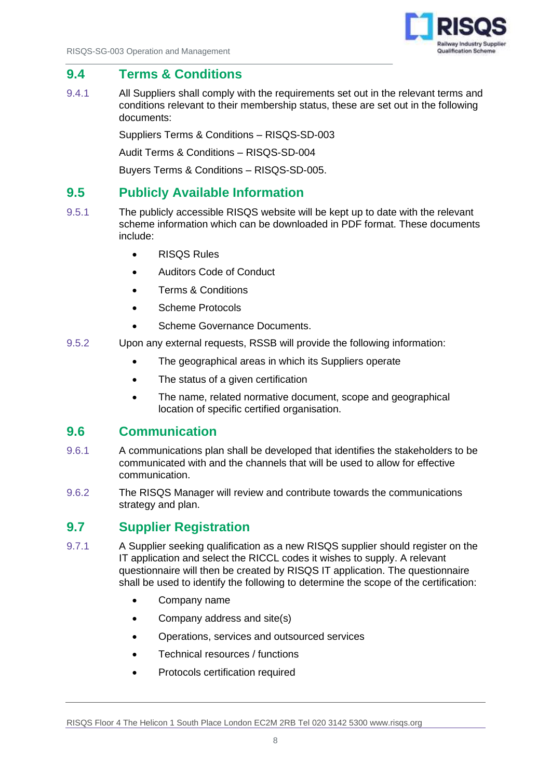

#### **9.4 Terms & Conditions**

9.4.1 All Suppliers shall comply with the requirements set out in the relevant terms and conditions relevant to their membership status, these are set out in the following documents:

Suppliers Terms & Conditions – RISQS-SD-003

Audit Terms & Conditions – RISQS-SD-004

Buyers Terms & Conditions – RISQS-SD-005.

#### **9.5 Publicly Available Information**

- 9.5.1 The publicly accessible RISQS website will be kept up to date with the relevant scheme information which can be downloaded in PDF format. These documents include:
	- RISQS Rules
	- Auditors Code of Conduct
	- Terms & Conditions
	- Scheme Protocols
	- Scheme Governance Documents.
- 9.5.2 Upon any external requests, RSSB will provide the following information:
	- The geographical areas in which its Suppliers operate
	- The status of a given certification
	- The name, related normative document, scope and geographical location of specific certified organisation.

#### **9.6 Communication**

- 9.6.1 A communications plan shall be developed that identifies the stakeholders to be communicated with and the channels that will be used to allow for effective communication.
- 9.6.2 The RISQS Manager will review and contribute towards the communications strategy and plan.

#### **9.7 Supplier Registration**

- 9.7.1 A Supplier seeking qualification as a new RISQS supplier should register on the IT application and select the RICCL codes it wishes to supply. A relevant questionnaire will then be created by RISQS IT application. The questionnaire shall be used to identify the following to determine the scope of the certification:
	- Company name
	- Company address and site(s)
	- Operations, services and outsourced services
	- Technical resources / functions
	- Protocols certification required

RISQS Floor 4 The Helicon 1 South Place London EC2M 2RB Tel 020 3142 5300 www.risqs.org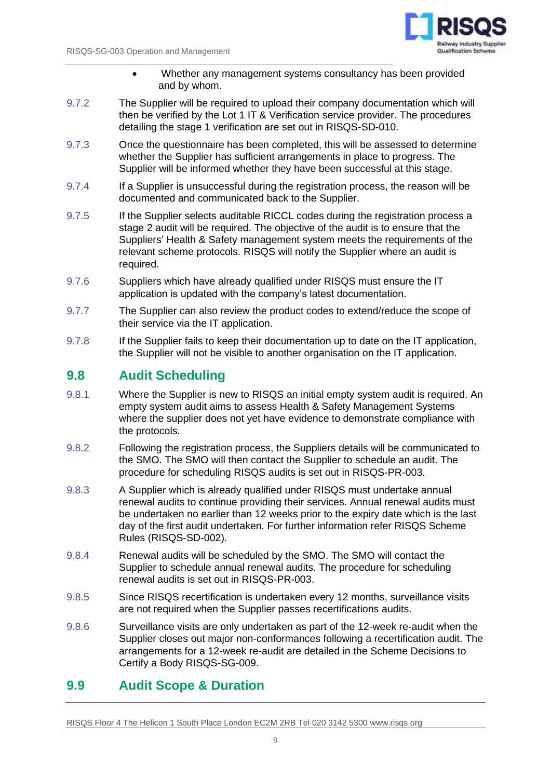

- Whether any management systems consultancy has been provided and by whom.
- 9.7.2 The Supplier will be required to upload their company documentation which will then be verified by the Lot 1 IT & Verification service provider. The procedures detailing the stage 1 verification are set out in RISQS-SD-010.
- 9.7.3 Once the questionnaire has been completed, this will be assessed to determine whether the Supplier has sufficient arrangements in place to progress. The Supplier will be informed whether they have been successful at this stage.
- 9.7.4 If a Supplier is unsuccessful during the registration process, the reason will be documented and communicated back to the Supplier.
- 9.7.5 If the Supplier selects auditable RICCL codes during the registration process a stage 2 audit will be required. The objective of the audit is to ensure that the Suppliers' Health & Safety management system meets the requirements of the relevant scheme protocols. RISQS will notify the Supplier where an audit is required.
- 9.7.6 Suppliers which have already qualified under RISQS must ensure the IT application is updated with the company's latest documentation.
- 9.7.7 The Supplier can also review the product codes to extend/reduce the scope of their service via the IT application.
- 9.7.8 If the Supplier fails to keep their documentation up to date on the IT application, the Supplier will not be visible to another organisation on the IT application.

#### **9.8 Audit Scheduling**

- 9.8.1 Where the Supplier is new to RISQS an initial empty system audit is required. An empty system audit aims to assess Health & Safety Management Systems where the supplier does not yet have evidence to demonstrate compliance with the protocols.
- 9.8.2 Following the registration process, the Suppliers details will be communicated to the SMO. The SMO will then contact the Supplier to schedule an audit. The procedure for scheduling RISQS audits is set out in RISQS-PR-003.
- 9.8.3 A Supplier which is already qualified under RISQS must undertake annual renewal audits to continue providing their services. Annual renewal audits must be undertaken no earlier than 12 weeks prior to the expiry date which is the last day of the first audit undertaken. For further information refer RISQS Scheme Rules (RISQS-SD-002).
- 9.8.4 Renewal audits will be scheduled by the SMO. The SMO will contact the Supplier to schedule annual renewal audits. The procedure for scheduling renewal audits is set out in RISQS-PR-003.
- 9.8.5 Since RISQS recertification is undertaken every 12 months, surveillance visits are not required when the Supplier passes recertifications audits.
- 9.8.6 Surveillance visits are only undertaken as part of the 12-week re-audit when the Supplier closes out major non-conformances following a recertification audit. The arrangements for a 12-week re-audit are detailed in the Scheme Decisions to Certify a Body RISQS-SG-009.

#### **9.9 Audit Scope & Duration**

RISQS Floor 4 The Helicon 1 South Place London EC2M 2RB Tel 020 3142 5300 www.risqs.org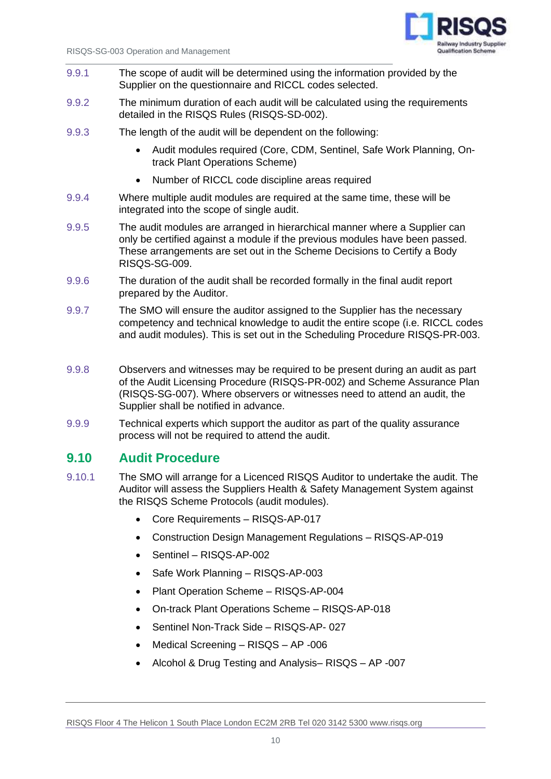

- 9.9.1 The scope of audit will be determined using the information provided by the Supplier on the questionnaire and RICCL codes selected.
- 9.9.2 The minimum duration of each audit will be calculated using the requirements detailed in the RISQS Rules (RISQS-SD-002).
- 9.9.3 The length of the audit will be dependent on the following:
	- Audit modules required (Core, CDM, Sentinel, Safe Work Planning, Ontrack Plant Operations Scheme)
	- Number of RICCL code discipline areas required
- 9.9.4 Where multiple audit modules are required at the same time, these will be integrated into the scope of single audit.
- 9.9.5 The audit modules are arranged in hierarchical manner where a Supplier can only be certified against a module if the previous modules have been passed. These arrangements are set out in the Scheme Decisions to Certify a Body RISQS-SG-009.
- 9.9.6 The duration of the audit shall be recorded formally in the final audit report prepared by the Auditor.
- 9.9.7 The SMO will ensure the auditor assigned to the Supplier has the necessary competency and technical knowledge to audit the entire scope (i.e. RICCL codes and audit modules). This is set out in the Scheduling Procedure RISQS-PR-003.
- 9.9.8 Observers and witnesses may be required to be present during an audit as part of the Audit Licensing Procedure (RISQS-PR-002) and Scheme Assurance Plan (RISQS-SG-007). Where observers or witnesses need to attend an audit, the Supplier shall be notified in advance.
- 9.9.9 Technical experts which support the auditor as part of the quality assurance process will not be required to attend the audit.

#### **9.10 Audit Procedure**

- 9.10.1 The SMO will arrange for a Licenced RISQS Auditor to undertake the audit. The Auditor will assess the Suppliers Health & Safety Management System against the RISQS Scheme Protocols (audit modules).
	- Core Requirements RISQS-AP-017
	- Construction Design Management Regulations RISQS-AP-019
	- Sentinel RISQS-AP-002
	- Safe Work Planning RISQS-AP-003
	- Plant Operation Scheme RISQS-AP-004
	- On-track Plant Operations Scheme RISQS-AP-018
	- Sentinel Non-Track Side RISQS-AP- 027
	- Medical Screening RISQS AP -006
	- Alcohol & Drug Testing and Analysis– RISQS AP -007

RISQS Floor 4 The Helicon 1 South Place London EC2M 2RB Tel 020 3142 5300 www.risqs.org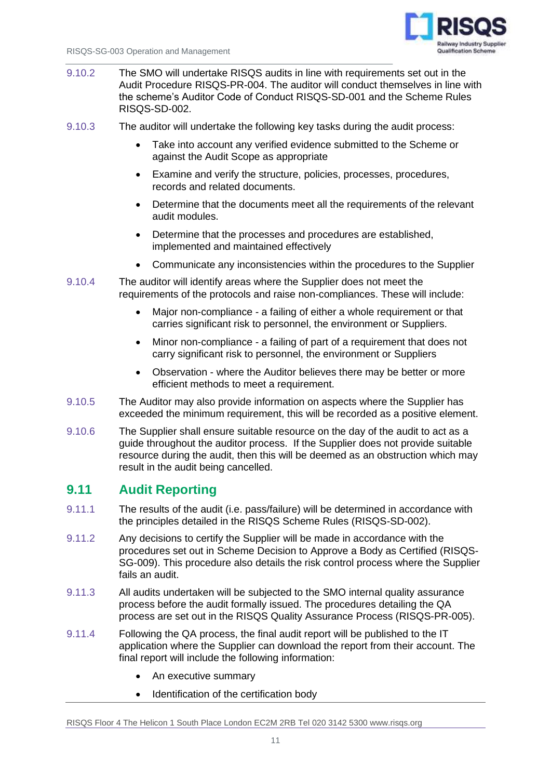

- 9.10.2 The SMO will undertake RISQS audits in line with requirements set out in the Audit Procedure RISQS-PR-004. The auditor will conduct themselves in line with the scheme's Auditor Code of Conduct RISQS-SD-001 and the Scheme Rules RISQS-SD-002.
- 9.10.3 The auditor will undertake the following key tasks during the audit process:
	- Take into account any verified evidence submitted to the Scheme or against the Audit Scope as appropriate
	- Examine and verify the structure, policies, processes, procedures, records and related documents.
	- Determine that the documents meet all the requirements of the relevant audit modules.
	- Determine that the processes and procedures are established, implemented and maintained effectively
	- Communicate any inconsistencies within the procedures to the Supplier
- 9.10.4 The auditor will identify areas where the Supplier does not meet the requirements of the protocols and raise non-compliances. These will include:
	- Major non-compliance a failing of either a whole requirement or that carries significant risk to personnel, the environment or Suppliers.
	- Minor non-compliance a failing of part of a requirement that does not carry significant risk to personnel, the environment or Suppliers
	- Observation where the Auditor believes there may be better or more efficient methods to meet a requirement.
- 9.10.5 The Auditor may also provide information on aspects where the Supplier has exceeded the minimum requirement, this will be recorded as a positive element.
- 9.10.6 The Supplier shall ensure suitable resource on the day of the audit to act as a guide throughout the auditor process. If the Supplier does not provide suitable resource during the audit, then this will be deemed as an obstruction which may result in the audit being cancelled.

#### **9.11 Audit Reporting**

- 9.11.1 The results of the audit (i.e. pass/failure) will be determined in accordance with the principles detailed in the RISQS Scheme Rules (RISQS-SD-002).
- 9.11.2 Any decisions to certify the Supplier will be made in accordance with the procedures set out in Scheme Decision to Approve a Body as Certified (RISQS-SG-009). This procedure also details the risk control process where the Supplier fails an audit.
- 9.11.3 All audits undertaken will be subjected to the SMO internal quality assurance process before the audit formally issued. The procedures detailing the QA process are set out in the RISQS Quality Assurance Process (RISQS-PR-005).
- 9.11.4 Following the QA process, the final audit report will be published to the IT application where the Supplier can download the report from their account. The final report will include the following information:
	- An executive summary
	- Identification of the certification body

RISQS Floor 4 The Helicon 1 South Place London EC2M 2RB Tel 020 3142 5300 www.risqs.org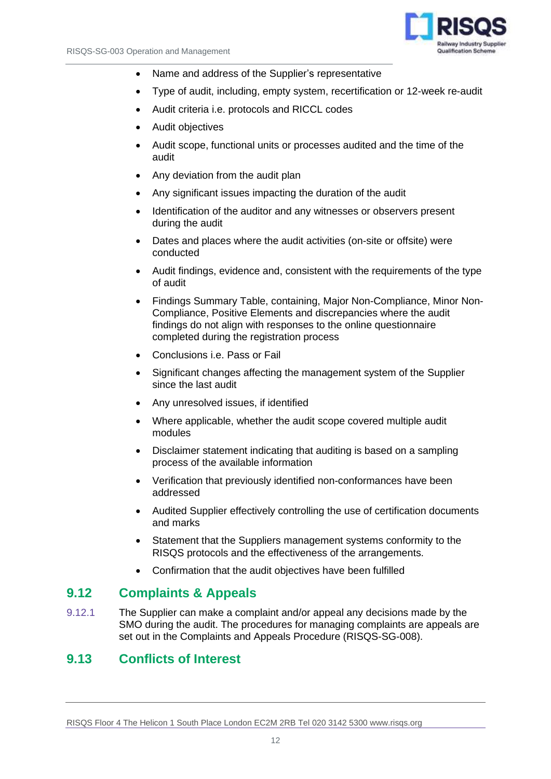

- Name and address of the Supplier's representative
- Type of audit, including, empty system, recertification or 12-week re-audit
- Audit criteria i.e. protocols and RICCL codes
- Audit objectives
- Audit scope, functional units or processes audited and the time of the audit
- Any deviation from the audit plan
- Any significant issues impacting the duration of the audit
- Identification of the auditor and any witnesses or observers present during the audit
- Dates and places where the audit activities (on-site or offsite) were conducted
- Audit findings, evidence and, consistent with the requirements of the type of audit
- Findings Summary Table, containing, Major Non-Compliance, Minor Non-Compliance, Positive Elements and discrepancies where the audit findings do not align with responses to the online questionnaire completed during the registration process
- Conclusions i.e. Pass or Fail
- Significant changes affecting the management system of the Supplier since the last audit
- Any unresolved issues, if identified
- Where applicable, whether the audit scope covered multiple audit modules
- Disclaimer statement indicating that auditing is based on a sampling process of the available information
- Verification that previously identified non-conformances have been addressed
- Audited Supplier effectively controlling the use of certification documents and marks
- Statement that the Suppliers management systems conformity to the RISQS protocols and the effectiveness of the arrangements.
- Confirmation that the audit objectives have been fulfilled

#### **9.12 Complaints & Appeals**

9.12.1 The Supplier can make a complaint and/or appeal any decisions made by the SMO during the audit. The procedures for managing complaints are appeals are set out in the Complaints and Appeals Procedure (RISQS-SG-008).

#### **9.13 Conflicts of Interest**

RISQS Floor 4 The Helicon 1 South Place London EC2M 2RB Tel 020 3142 5300 www.risqs.org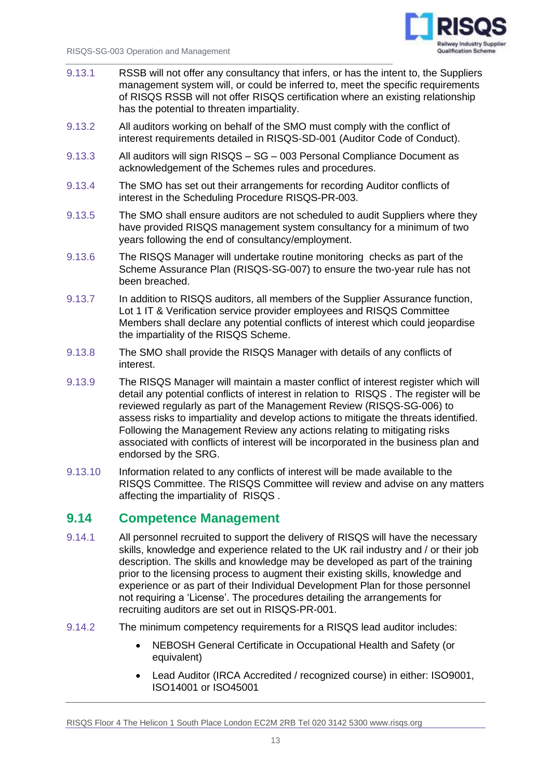

- 9.13.1 RSSB will not offer any consultancy that infers, or has the intent to, the Suppliers management system will, or could be inferred to, meet the specific requirements of RISQS RSSB will not offer RISQS certification where an existing relationship has the potential to threaten impartiality.
- 9.13.2 All auditors working on behalf of the SMO must comply with the conflict of interest requirements detailed in RISQS-SD-001 (Auditor Code of Conduct).
- 9.13.3 All auditors will sign RISQS SG 003 Personal Compliance Document as acknowledgement of the Schemes rules and procedures.
- 9.13.4 The SMO has set out their arrangements for recording Auditor conflicts of interest in the Scheduling Procedure RISQS-PR-003.
- 9.13.5 The SMO shall ensure auditors are not scheduled to audit Suppliers where they have provided RISQS management system consultancy for a minimum of two years following the end of consultancy/employment.
- 9.13.6 The RISQS Manager will undertake routine monitoring checks as part of the Scheme Assurance Plan (RISQS-SG-007) to ensure the two-year rule has not been breached.
- 9.13.7 In addition to RISQS auditors, all members of the Supplier Assurance function, Lot 1 IT & Verification service provider employees and RISQS Committee Members shall declare any potential conflicts of interest which could jeopardise the impartiality of the RISQS Scheme.
- 9.13.8 The SMO shall provide the RISQS Manager with details of any conflicts of interest.
- 9.13.9 The RISQS Manager will maintain a master conflict of interest register which will detail any potential conflicts of interest in relation to RISQS . The register will be reviewed regularly as part of the Management Review (RISQS-SG-006) to assess risks to impartiality and develop actions to mitigate the threats identified. Following the Management Review any actions relating to mitigating risks associated with conflicts of interest will be incorporated in the business plan and endorsed by the SRG.
- 9.13.10 Information related to any conflicts of interest will be made available to the RISQS Committee. The RISQS Committee will review and advise on any matters affecting the impartiality of RISQS .

#### **9.14 Competence Management**

- 9.14.1 All personnel recruited to support the delivery of RISQS will have the necessary skills, knowledge and experience related to the UK rail industry and / or their job description. The skills and knowledge may be developed as part of the training prior to the licensing process to augment their existing skills, knowledge and experience or as part of their Individual Development Plan for those personnel not requiring a 'License'. The procedures detailing the arrangements for recruiting auditors are set out in RISQS-PR-001.
- 9.14.2 The minimum competency requirements for a RISQS lead auditor includes:
	- NEBOSH General Certificate in Occupational Health and Safety (or equivalent)
	- Lead Auditor (IRCA Accredited / recognized course) in either: ISO9001, ISO14001 or ISO45001

RISQS Floor 4 The Helicon 1 South Place London EC2M 2RB Tel 020 3142 5300 www.risqs.org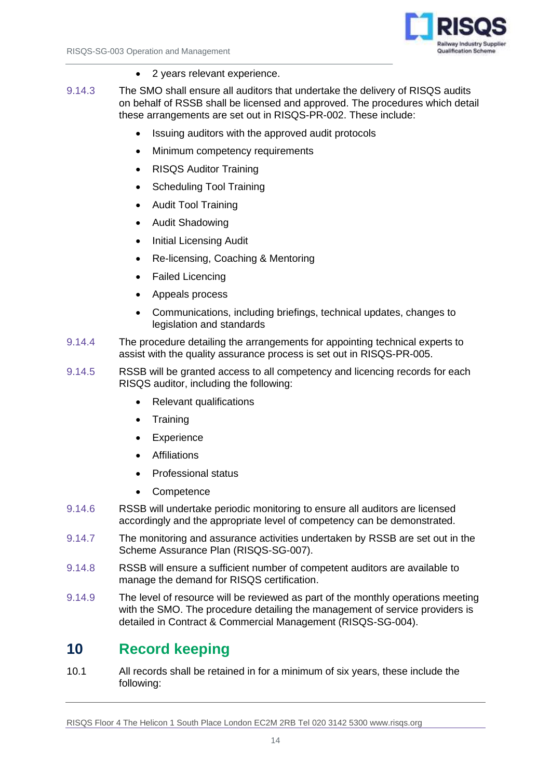

- 2 years relevant experience.
- 9.14.3 The SMO shall ensure all auditors that undertake the delivery of RISQS audits on behalf of RSSB shall be licensed and approved. The procedures which detail these arrangements are set out in RISQS-PR-002. These include:
	- Issuing auditors with the approved audit protocols
	- Minimum competency requirements
	- RISQS Auditor Training
	- Scheduling Tool Training
	- Audit Tool Training
	- Audit Shadowing
	- Initial Licensing Audit
	- Re-licensing, Coaching & Mentoring
	- Failed Licencing
	- Appeals process
	- Communications, including briefings, technical updates, changes to legislation and standards
- 9.14.4 The procedure detailing the arrangements for appointing technical experts to assist with the quality assurance process is set out in RISQS-PR-005.
- 9.14.5 RSSB will be granted access to all competency and licencing records for each RISQS auditor, including the following:
	- Relevant qualifications
	- Training
	- **Experience**
	- **Affiliations**
	- Professional status
	- Competence
- 9.14.6 RSSB will undertake periodic monitoring to ensure all auditors are licensed accordingly and the appropriate level of competency can be demonstrated.
- 9.14.7 The monitoring and assurance activities undertaken by RSSB are set out in the Scheme Assurance Plan (RISQS-SG-007).
- 9.14.8 RSSB will ensure a sufficient number of competent auditors are available to manage the demand for RISQS certification.
- 9.14.9 The level of resource will be reviewed as part of the monthly operations meeting with the SMO. The procedure detailing the management of service providers is detailed in Contract & Commercial Management (RISQS-SG-004).

### <span id="page-15-0"></span>**10 Record keeping**

10.1 All records shall be retained in for a minimum of six years, these include the following:

RISQS Floor 4 The Helicon 1 South Place London EC2M 2RB Tel 020 3142 5300 www.risqs.org